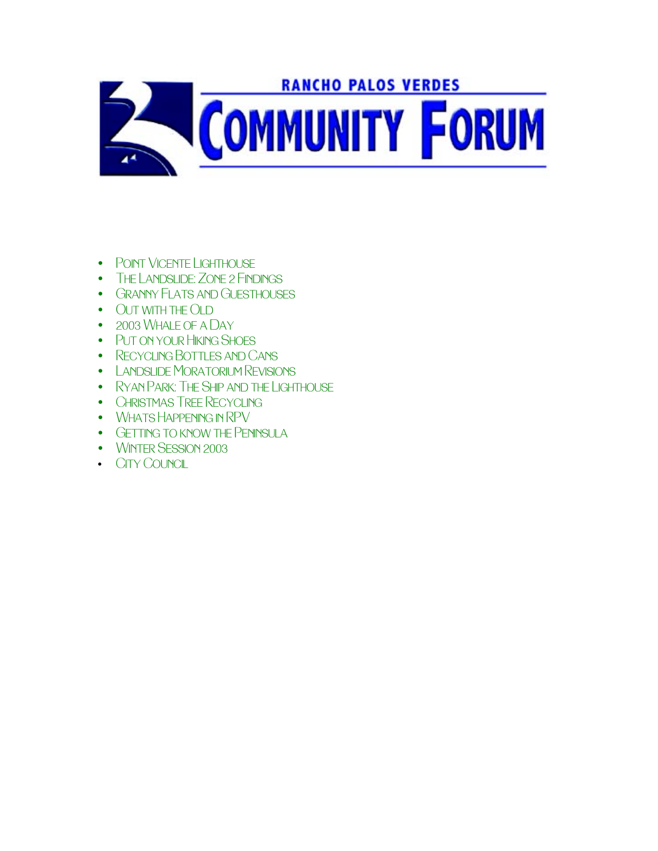

- POINT VICENTE LIGHTHOUSE
- THE LANDSLIDE: ZONE 2 FINDINGS
- GRANNY FLATS AND GUESTHOUSES
- OUT WITH THE OLD
- 2003 WHALE OF A DAY
- PUT ON YOUR HIKING SHOES
- [Recycling Bottles and Cans](#page-10-0)
- [Landslide Moratorium Revisions](#page-11-0)
- [Ryan Park: The Ship and the Lighthouse](#page-12-0)
- CHRISTMAS TREE RECYCLING
- WHATS HAPPENING IN RPV
- GETTING TO KNOW THE PENINSULA
- WINTER SESSION 2003
- [City Council](#page-20-0)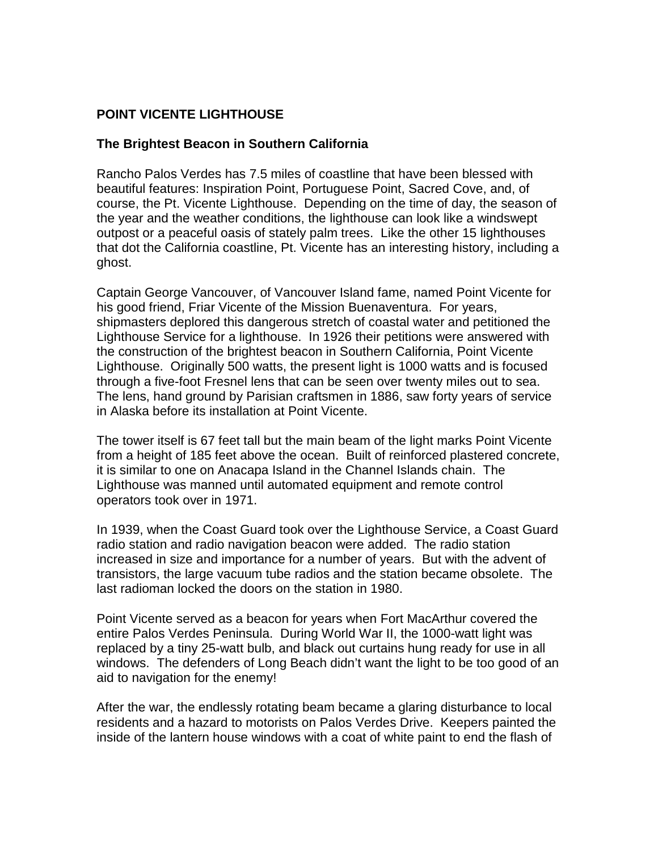# <span id="page-1-0"></span>**POINT VICENTE LIGHTHOUSE**

### **The Brightest Beacon in Southern California**

Rancho Palos Verdes has 7.5 miles of coastline that have been blessed with beautiful features: Inspiration Point, Portuguese Point, Sacred Cove, and, of course, the Pt. Vicente Lighthouse. Depending on the time of day, the season of the year and the weather conditions, the lighthouse can look like a windswept outpost or a peaceful oasis of stately palm trees. Like the other 15 lighthouses that dot the California coastline, Pt. Vicente has an interesting history, including a ghost.

Captain George Vancouver, of Vancouver Island fame, named Point Vicente for his good friend, Friar Vicente of the Mission Buenaventura. For years, shipmasters deplored this dangerous stretch of coastal water and petitioned the Lighthouse Service for a lighthouse. In 1926 their petitions were answered with the construction of the brightest beacon in Southern California, Point Vicente Lighthouse. Originally 500 watts, the present light is 1000 watts and is focused through a five-foot Fresnel lens that can be seen over twenty miles out to sea. The lens, hand ground by Parisian craftsmen in 1886, saw forty years of service in Alaska before its installation at Point Vicente.

The tower itself is 67 feet tall but the main beam of the light marks Point Vicente from a height of 185 feet above the ocean. Built of reinforced plastered concrete, it is similar to one on Anacapa Island in the Channel Islands chain. The Lighthouse was manned until automated equipment and remote control operators took over in 1971.

In 1939, when the Coast Guard took over the Lighthouse Service, a Coast Guard radio station and radio navigation beacon were added. The radio station increased in size and importance for a number of years. But with the advent of transistors, the large vacuum tube radios and the station became obsolete. The last radioman locked the doors on the station in 1980.

Point Vicente served as a beacon for years when Fort MacArthur covered the entire Palos Verdes Peninsula. During World War II, the 1000-watt light was replaced by a tiny 25-watt bulb, and black out curtains hung ready for use in all windows. The defenders of Long Beach didn't want the light to be too good of an aid to navigation for the enemy!

After the war, the endlessly rotating beam became a glaring disturbance to local residents and a hazard to motorists on Palos Verdes Drive. Keepers painted the inside of the lantern house windows with a coat of white paint to end the flash of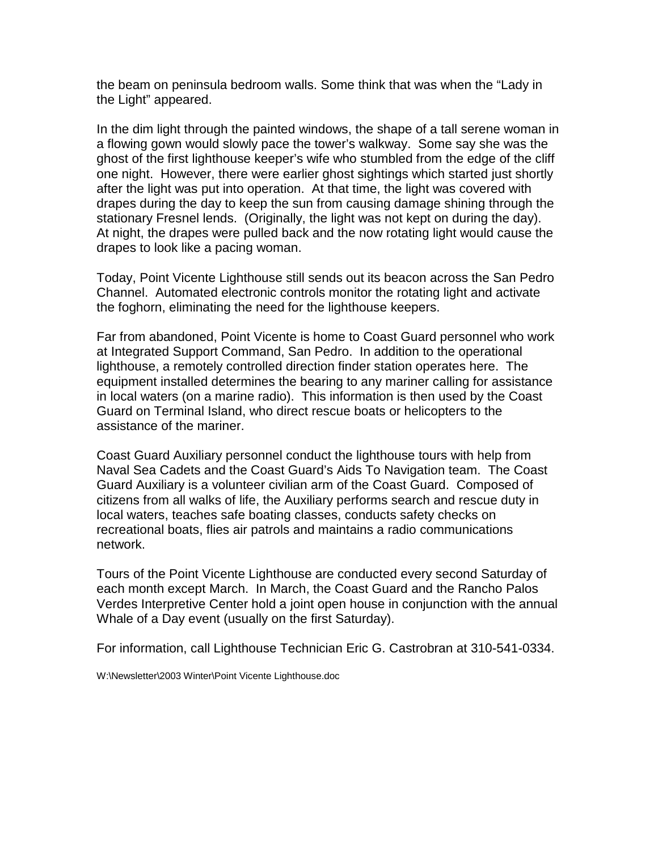the beam on peninsula bedroom walls. Some think that was when the "Lady in the Light" appeared.

In the dim light through the painted windows, the shape of a tall serene woman in a flowing gown would slowly pace the tower's walkway. Some say she was the ghost of the first lighthouse keeper's wife who stumbled from the edge of the cliff one night. However, there were earlier ghost sightings which started just shortly after the light was put into operation. At that time, the light was covered with drapes during the day to keep the sun from causing damage shining through the stationary Fresnel lends. (Originally, the light was not kept on during the day). At night, the drapes were pulled back and the now rotating light would cause the drapes to look like a pacing woman.

Today, Point Vicente Lighthouse still sends out its beacon across the San Pedro Channel. Automated electronic controls monitor the rotating light and activate the foghorn, eliminating the need for the lighthouse keepers.

Far from abandoned, Point Vicente is home to Coast Guard personnel who work at Integrated Support Command, San Pedro. In addition to the operational lighthouse, a remotely controlled direction finder station operates here. The equipment installed determines the bearing to any mariner calling for assistance in local waters (on a marine radio). This information is then used by the Coast Guard on Terminal Island, who direct rescue boats or helicopters to the assistance of the mariner.

Coast Guard Auxiliary personnel conduct the lighthouse tours with help from Naval Sea Cadets and the Coast Guard's Aids To Navigation team. The Coast Guard Auxiliary is a volunteer civilian arm of the Coast Guard. Composed of citizens from all walks of life, the Auxiliary performs search and rescue duty in local waters, teaches safe boating classes, conducts safety checks on recreational boats, flies air patrols and maintains a radio communications network.

Tours of the Point Vicente Lighthouse are conducted every second Saturday of each month except March. In March, the Coast Guard and the Rancho Palos Verdes Interpretive Center hold a joint open house in conjunction with the annual Whale of a Day event (usually on the first Saturday).

For information, call Lighthouse Technician Eric G. Castrobran at 310-541-0334.

W:\Newsletter\2003 Winter\Point Vicente Lighthouse.doc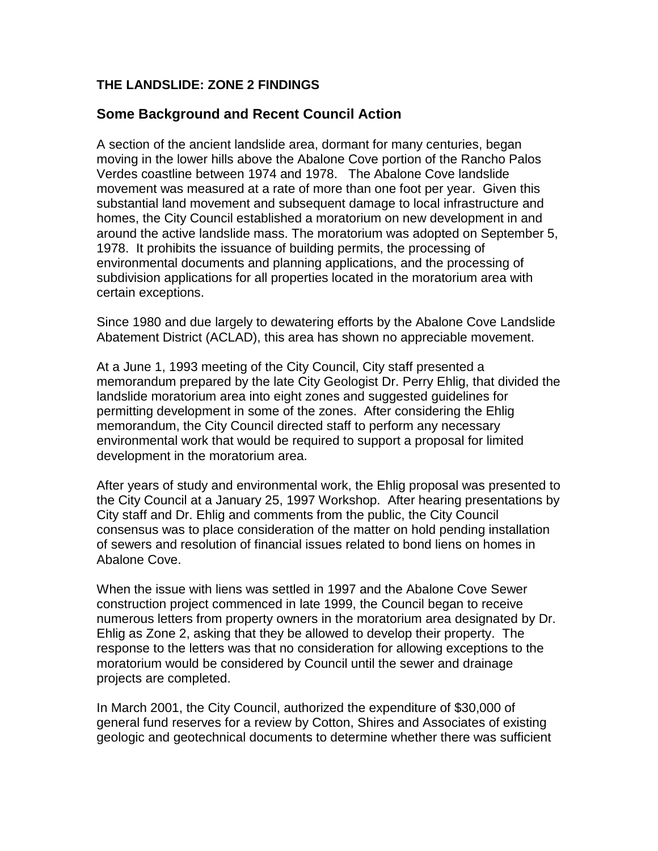# <span id="page-3-0"></span>**THE LANDSLIDE: ZONE 2 FINDINGS**

# **Some Background and Recent Council Action**

A section of the ancient landslide area, dormant for many centuries, began moving in the lower hills above the Abalone Cove portion of the Rancho Palos Verdes coastline between 1974 and 1978. The Abalone Cove landslide movement was measured at a rate of more than one foot per year. Given this substantial land movement and subsequent damage to local infrastructure and homes, the City Council established a moratorium on new development in and around the active landslide mass. The moratorium was adopted on September 5, 1978. It prohibits the issuance of building permits, the processing of environmental documents and planning applications, and the processing of subdivision applications for all properties located in the moratorium area with certain exceptions.

Since 1980 and due largely to dewatering efforts by the Abalone Cove Landslide Abatement District (ACLAD), this area has shown no appreciable movement.

At a June 1, 1993 meeting of the City Council, City staff presented a memorandum prepared by the late City Geologist Dr. Perry Ehlig, that divided the landslide moratorium area into eight zones and suggested guidelines for permitting development in some of the zones. After considering the Ehlig memorandum, the City Council directed staff to perform any necessary environmental work that would be required to support a proposal for limited development in the moratorium area.

After years of study and environmental work, the Ehlig proposal was presented to the City Council at a January 25, 1997 Workshop. After hearing presentations by City staff and Dr. Ehlig and comments from the public, the City Council consensus was to place consideration of the matter on hold pending installation of sewers and resolution of financial issues related to bond liens on homes in Abalone Cove.

When the issue with liens was settled in 1997 and the Abalone Cove Sewer construction project commenced in late 1999, the Council began to receive numerous letters from property owners in the moratorium area designated by Dr. Ehlig as Zone 2, asking that they be allowed to develop their property. The response to the letters was that no consideration for allowing exceptions to the moratorium would be considered by Council until the sewer and drainage projects are completed.

In March 2001, the City Council, authorized the expenditure of \$30,000 of general fund reserves for a review by Cotton, Shires and Associates of existing geologic and geotechnical documents to determine whether there was sufficient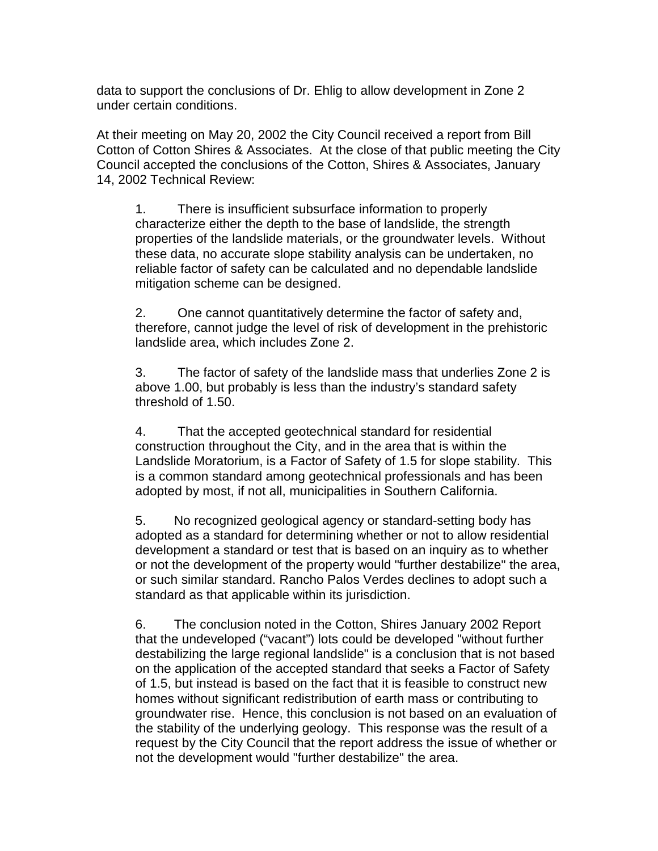data to support the conclusions of Dr. Ehlig to allow development in Zone 2 under certain conditions.

At their meeting on May 20, 2002 the City Council received a report from Bill Cotton of Cotton Shires & Associates. At the close of that public meeting the City Council accepted the conclusions of the Cotton, Shires & Associates, January 14, 2002 Technical Review:

1. There is insufficient subsurface information to properly characterize either the depth to the base of landslide, the strength properties of the landslide materials, or the groundwater levels. Without these data, no accurate slope stability analysis can be undertaken, no reliable factor of safety can be calculated and no dependable landslide mitigation scheme can be designed.

2. One cannot quantitatively determine the factor of safety and, therefore, cannot judge the level of risk of development in the prehistoric landslide area, which includes Zone 2.

3. The factor of safety of the landslide mass that underlies Zone 2 is above 1.00, but probably is less than the industry's standard safety threshold of 1.50.

4. That the accepted geotechnical standard for residential construction throughout the City, and in the area that is within the Landslide Moratorium, is a Factor of Safety of 1.5 for slope stability. This is a common standard among geotechnical professionals and has been adopted by most, if not all, municipalities in Southern California.

5. No recognized geological agency or standard-setting body has adopted as a standard for determining whether or not to allow residential development a standard or test that is based on an inquiry as to whether or not the development of the property would "further destabilize" the area, or such similar standard. Rancho Palos Verdes declines to adopt such a standard as that applicable within its jurisdiction.

6. The conclusion noted in the Cotton, Shires January 2002 Report that the undeveloped ("vacant") lots could be developed "without further destabilizing the large regional landslide" is a conclusion that is not based on the application of the accepted standard that seeks a Factor of Safety of 1.5, but instead is based on the fact that it is feasible to construct new homes without significant redistribution of earth mass or contributing to groundwater rise. Hence, this conclusion is not based on an evaluation of the stability of the underlying geology. This response was the result of a request by the City Council that the report address the issue of whether or not the development would "further destabilize" the area.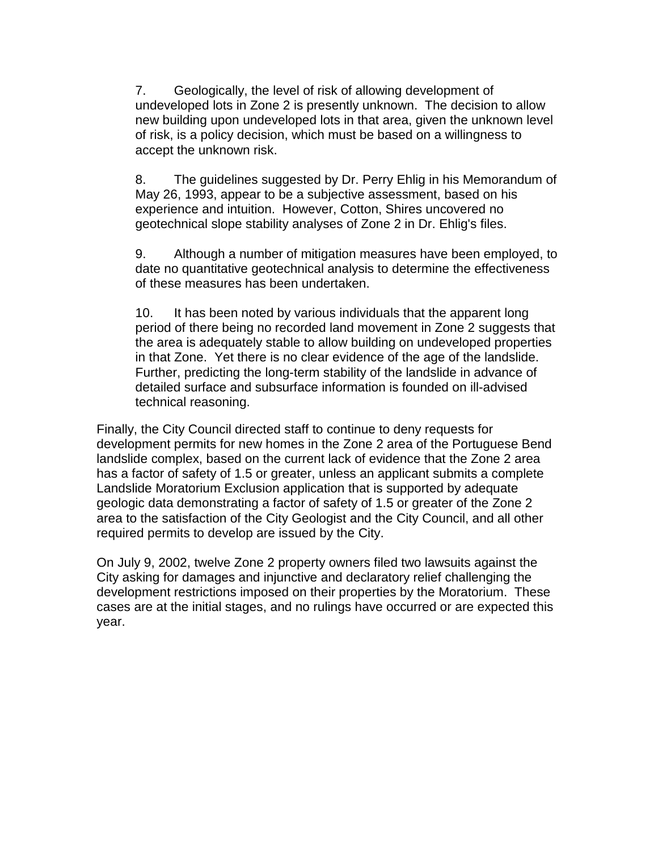7. Geologically, the level of risk of allowing development of undeveloped lots in Zone 2 is presently unknown. The decision to allow new building upon undeveloped lots in that area, given the unknown level of risk, is a policy decision, which must be based on a willingness to accept the unknown risk.

8. The guidelines suggested by Dr. Perry Ehlig in his Memorandum of May 26, 1993, appear to be a subjective assessment, based on his experience and intuition. However, Cotton, Shires uncovered no geotechnical slope stability analyses of Zone 2 in Dr. Ehlig's files.

9. Although a number of mitigation measures have been employed, to date no quantitative geotechnical analysis to determine the effectiveness of these measures has been undertaken.

10. It has been noted by various individuals that the apparent long period of there being no recorded land movement in Zone 2 suggests that the area is adequately stable to allow building on undeveloped properties in that Zone. Yet there is no clear evidence of the age of the landslide. Further, predicting the long-term stability of the landslide in advance of detailed surface and subsurface information is founded on ill-advised technical reasoning.

Finally, the City Council directed staff to continue to deny requests for development permits for new homes in the Zone 2 area of the Portuguese Bend landslide complex, based on the current lack of evidence that the Zone 2 area has a factor of safety of 1.5 or greater, unless an applicant submits a complete Landslide Moratorium Exclusion application that is supported by adequate geologic data demonstrating a factor of safety of 1.5 or greater of the Zone 2 area to the satisfaction of the City Geologist and the City Council, and all other required permits to develop are issued by the City.

On July 9, 2002, twelve Zone 2 property owners filed two lawsuits against the City asking for damages and injunctive and declaratory relief challenging the development restrictions imposed on their properties by the Moratorium. These cases are at the initial stages, and no rulings have occurred or are expected this year.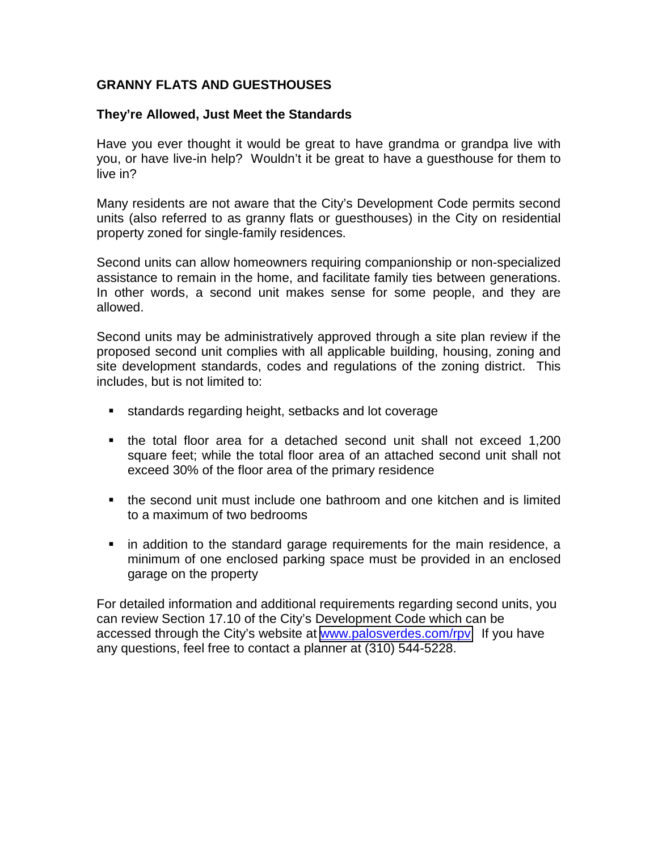# <span id="page-6-0"></span>**GRANNY FLATS AND GUESTHOUSES**

### **They're Allowed, Just Meet the Standards**

Have you ever thought it would be great to have grandma or grandpa live with you, or have live-in help? Wouldn't it be great to have a guesthouse for them to live in?

Many residents are not aware that the City's Development Code permits second units (also referred to as granny flats or guesthouses) in the City on residential property zoned for single-family residences.

Second units can allow homeowners requiring companionship or non-specialized assistance to remain in the home, and facilitate family ties between generations. In other words, a second unit makes sense for some people, and they are allowed.

Second units may be administratively approved through a site plan review if the proposed second unit complies with all applicable building, housing, zoning and site development standards, codes and regulations of the zoning district. This includes, but is not limited to:

- **EXE** standards regarding height, setbacks and lot coverage
- ! the total floor area for a detached second unit shall not exceed 1,200 square feet; while the total floor area of an attached second unit shall not exceed 30% of the floor area of the primary residence
- ! the second unit must include one bathroom and one kitchen and is limited to a maximum of two bedrooms
- ! in addition to the standard garage requirements for the main residence, a minimum of one enclosed parking space must be provided in an enclosed garage on the property

For detailed information and additional requirements regarding second units, you can review Section 17.10 of the City's Development Code which can be accessed through the City's website at [www.palosverdes.com/rpv.](http://www.palosverdes.com/rpv) If you have any questions, feel free to contact a planner at (310) 544-5228.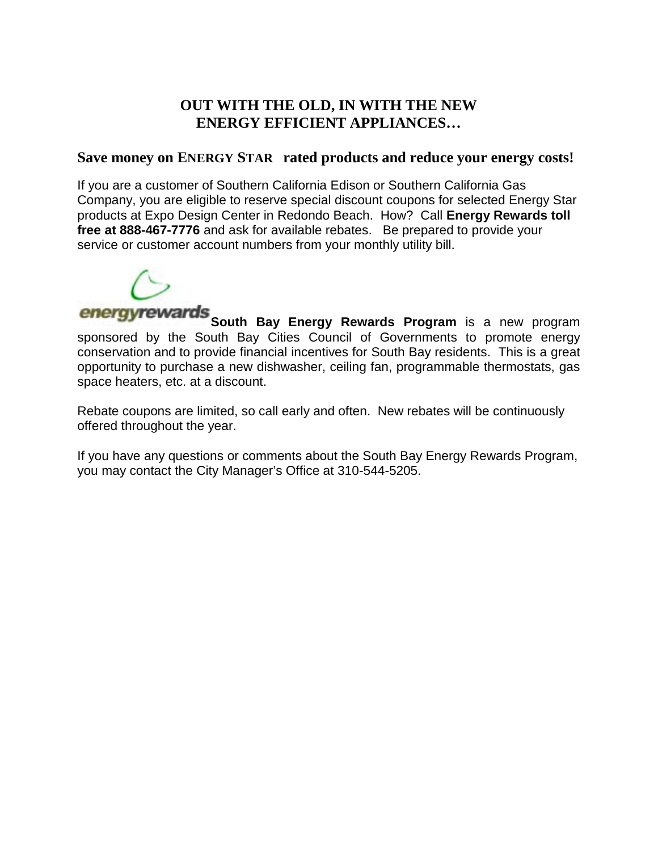# **OUT WITH THE OLD, IN WITH THE NEW ENERGY EFFICIENT APPLIANCES…**

# <span id="page-7-0"></span>Save money on ENERGY STAR<sup>®</sup> rated products and reduce your energy costs!

If you are a customer of Southern California Edison or Southern California Gas Company, you are eligible to reserve special discount coupons for selected Energy Star products at Expo Design Center in Redondo Beach. How? Call **Energy Rewards toll free at 888-467-7776** and ask for available rebates. Be prepared to provide your service or customer account numbers from your monthly utility bill.



*energyrewards* South Bay Energy Rewards Program is a new program sponsored by the South Bay Cities Council of Governments to promote energy conservation and to provide financial incentives for South Bay residents. This is a great opportunity to purchase a new dishwasher, ceiling fan, programmable thermostats, gas space heaters, etc. at a discount.

Rebate coupons are limited, so call early and often. New rebates will be continuously offered throughout the year.

If you have any questions or comments about the South Bay Energy Rewards Program, you may contact the City Manager's Office at 310-544-5205.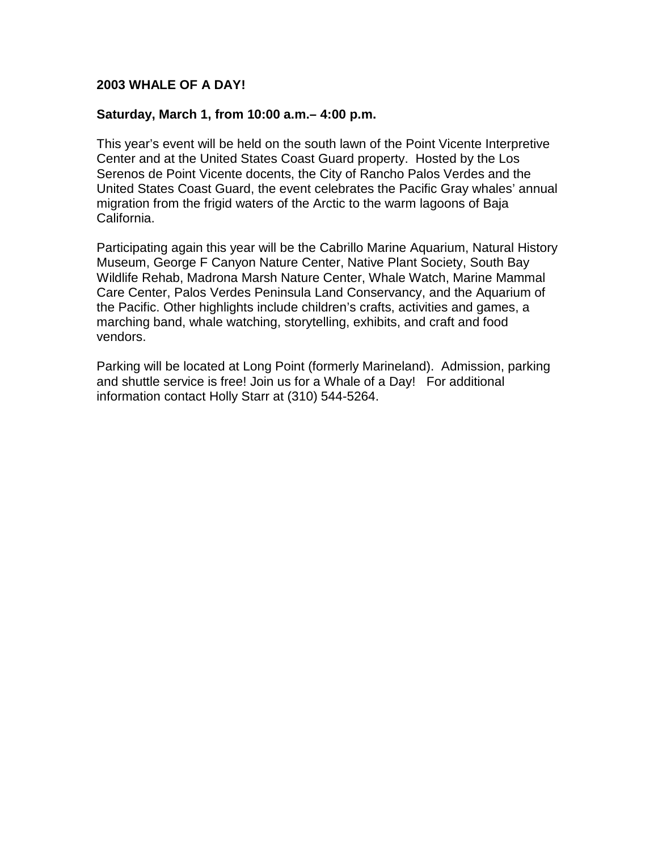### <span id="page-8-0"></span>**2003 WHALE OF A DAY!**

### **Saturday, March 1, from 10:00 a.m.– 4:00 p.m.**

This year's event will be held on the south lawn of the Point Vicente Interpretive Center and at the United States Coast Guard property. Hosted by the Los Serenos de Point Vicente docents, the City of Rancho Palos Verdes and the United States Coast Guard, the event celebrates the Pacific Gray whales' annual migration from the frigid waters of the Arctic to the warm lagoons of Baja California.

Participating again this year will be the Cabrillo Marine Aquarium, Natural History Museum, George F Canyon Nature Center, Native Plant Society, South Bay Wildlife Rehab, Madrona Marsh Nature Center, Whale Watch, Marine Mammal Care Center, Palos Verdes Peninsula Land Conservancy, and the Aquarium of the Pacific. Other highlights include children's crafts, activities and games, a marching band, whale watching, storytelling, exhibits, and craft and food vendors.

Parking will be located at Long Point (formerly Marineland). Admission, parking and shuttle service is free! Join us for a Whale of a Day!For additional information contact Holly Starr at (310) 544-5264.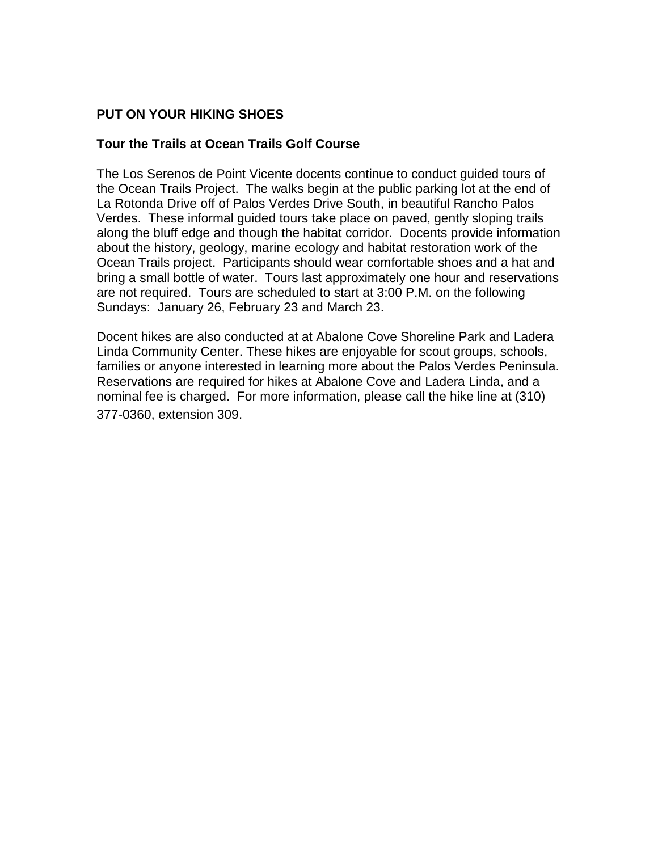# <span id="page-9-0"></span>**PUT ON YOUR HIKING SHOES**

### **Tour the Trails at Ocean Trails Golf Course**

The Los Serenos de Point Vicente docents continue to conduct guided tours of the Ocean Trails Project. The walks begin at the public parking lot at the end of La Rotonda Drive off of Palos Verdes Drive South, in beautiful Rancho Palos Verdes. These informal guided tours take place on paved, gently sloping trails along the bluff edge and though the habitat corridor. Docents provide information about the history, geology, marine ecology and habitat restoration work of the Ocean Trails project. Participants should wear comfortable shoes and a hat and bring a small bottle of water. Tours last approximately one hour and reservations are not required. Tours are scheduled to start at 3:00 P.M. on the following Sundays: January 26, February 23 and March 23.

Docent hikes are also conducted at at Abalone Cove Shoreline Park and Ladera Linda Community Center. These hikes are enjoyable for scout groups, schools, families or anyone interested in learning more about the Palos Verdes Peninsula. Reservations are required for hikes at Abalone Cove and Ladera Linda, and a nominal fee is charged. For more information, please call the hike line at (310) 377-0360, extension 309.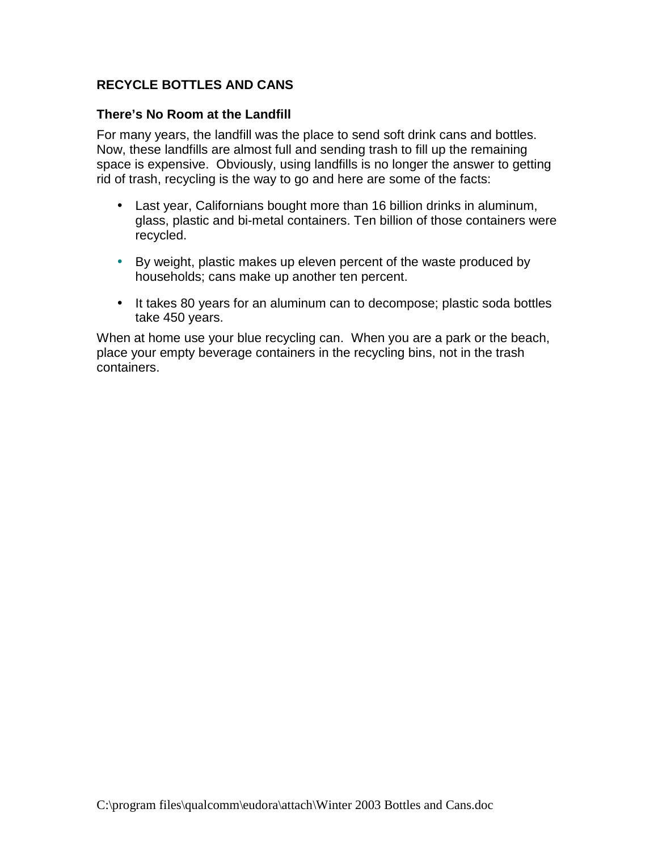# <span id="page-10-0"></span>**RECYCLE BOTTLES AND CANS**

### **There's No Room at the Landfill**

For many years, the landfill was the place to send soft drink cans and bottles. Now, these landfills are almost full and sending trash to fill up the remaining space is expensive. Obviously, using landfills is no longer the answer to getting rid of trash, recycling is the way to go and here are some of the facts:

- Last year, Californians bought more than 16 billion drinks in aluminum, glass, plastic and bi-metal containers. Ten billion of those containers were recycled.
- By weight, plastic makes up eleven percent of the waste produced by households; cans make up another ten percent.
- It takes 80 years for an aluminum can to decompose; plastic soda bottles take 450 years.

When at home use your blue recycling can. When you are a park or the beach, place your empty beverage containers in the recycling bins, not in the trash containers.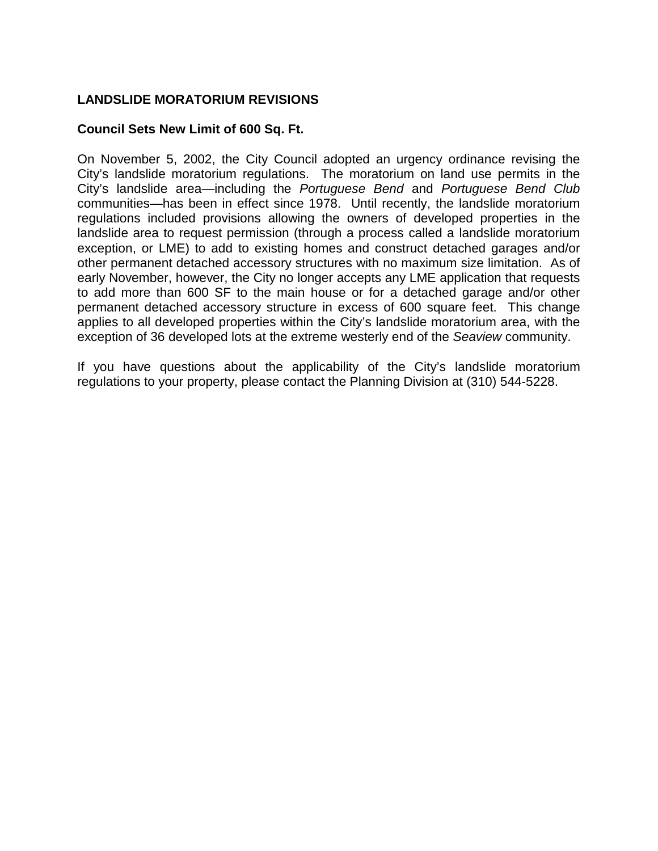# <span id="page-11-0"></span>**LANDSLIDE MORATORIUM REVISIONS**

### **Council Sets New Limit of 600 Sq. Ft.**

On November 5, 2002, the City Council adopted an urgency ordinance revising the City's landslide moratorium regulations. The moratorium on land use permits in the City's landslide area—including the *Portuguese Bend* and *Portuguese Bend Club* communities—has been in effect since 1978. Until recently, the landslide moratorium regulations included provisions allowing the owners of developed properties in the landslide area to request permission (through a process called a landslide moratorium exception, or LME) to add to existing homes and construct detached garages and/or other permanent detached accessory structures with no maximum size limitation. As of early November, however, the City no longer accepts any LME application that requests to add more than 600 SF to the main house or for a detached garage and/or other permanent detached accessory structure in excess of 600 square feet. This change applies to all developed properties within the City's landslide moratorium area, with the exception of 36 developed lots at the extreme westerly end of the *Seaview* community.

If you have questions about the applicability of the City's landslide moratorium regulations to your property, please contact the Planning Division at (310) 544-5228.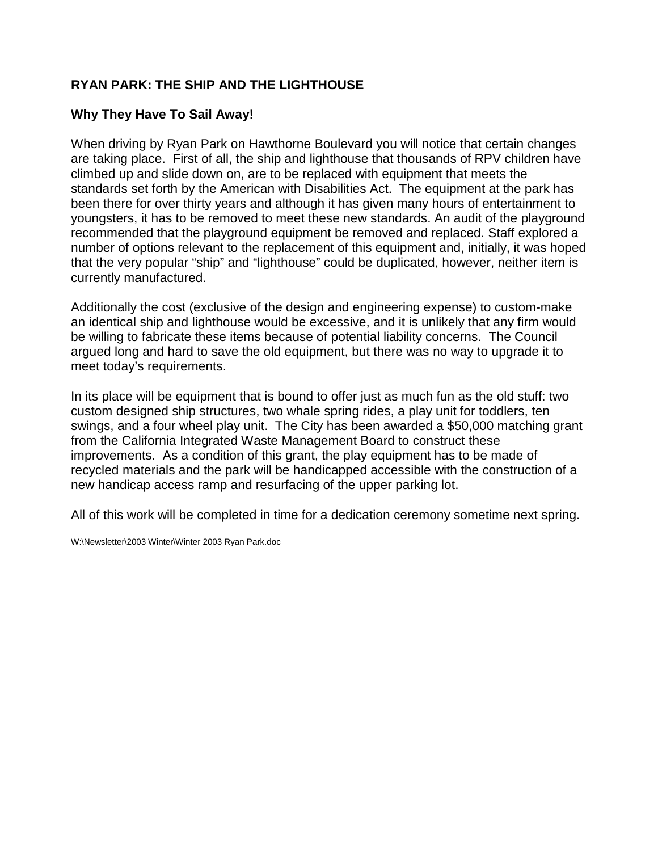# <span id="page-12-0"></span>**RYAN PARK: THE SHIP AND THE LIGHTHOUSE**

# **Why They Have To Sail Away!**

When driving by Ryan Park on Hawthorne Boulevard you will notice that certain changes are taking place. First of all, the ship and lighthouse that thousands of RPV children have climbed up and slide down on, are to be replaced with equipment that meets the standards set forth by the American with Disabilities Act. The equipment at the park has been there for over thirty years and although it has given many hours of entertainment to youngsters, it has to be removed to meet these new standards. An audit of the playground recommended that the playground equipment be removed and replaced. Staff explored a number of options relevant to the replacement of this equipment and, initially, it was hoped that the very popular "ship" and "lighthouse" could be duplicated, however, neither item is currently manufactured.

Additionally the cost (exclusive of the design and engineering expense) to custom-make an identical ship and lighthouse would be excessive, and it is unlikely that any firm would be willing to fabricate these items because of potential liability concerns. The Council argued long and hard to save the old equipment, but there was no way to upgrade it to meet today's requirements.

In its place will be equipment that is bound to offer just as much fun as the old stuff: two custom designed ship structures, two whale spring rides, a play unit for toddlers, ten swings, and a four wheel play unit. The City has been awarded a \$50,000 matching grant from the California Integrated Waste Management Board to construct these improvements. As a condition of this grant, the play equipment has to be made of recycled materials and the park will be handicapped accessible with the construction of a new handicap access ramp and resurfacing of the upper parking lot.

All of this work will be completed in time for a dedication ceremony sometime next spring.

W:\Newsletter\2003 Winter\Winter 2003 Ryan Park.doc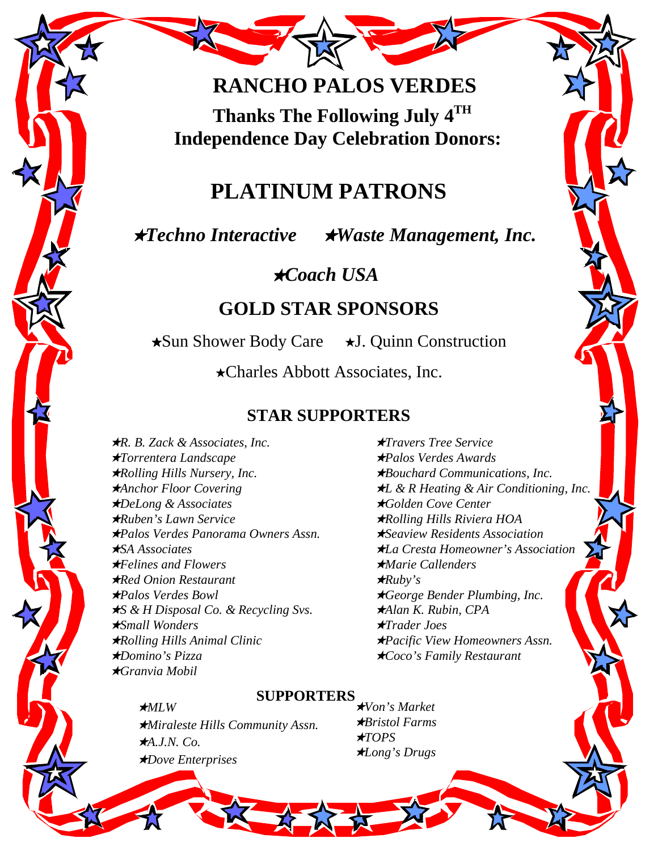# **RANCHO PALOS VERDES**

**Thanks The Following July 4TH Independence Day Celebration Donors:**

# **PLATINUM PATRONS**

# ★*Techno Interactive* ★*Waste Management, Inc.*

★*Coach USA*

# **GOLD STAR SPONSORS**

★Sun Shower Body Care ★J. Quinn Construction

★Charles Abbott Associates, Inc.

# **STAR SUPPORTERS**

★*R. B. Zack & Associates, Inc.* ★*Travers Tree Service* ★*Torrentera Landscape* ★*Palos Verdes Awards* ★*Rolling Hills Nursery, Inc.* ★*Bouchard Communications, Inc.* ★*Anchor Floor Covering* ★*L & R Heating & Air Conditioning, Inc.* ★*DeLong & Associates* ★*Golden Cove Center* ★*Ruben's Lawn Service* ★*Rolling Hills Riviera HOA* ★*Palos Verdes Panorama Owners Assn.* ★*Seaview Residents Association* ★*SA Associates* ★*La Cresta Homeowner's Association* ★*Felines and Flowers* ★*Marie Callenders* ★*Red Onion Restaurant* ★*Ruby's* ★*Palos Verdes Bowl* ★*George Bender Plumbing, Inc.* ★*S & H Disposal Co. & Recycling Svs.* ★*Alan K. Rubin, CPA* ★*Small Wonders* ★*Trader Joes* ★*Rolling Hills Animal Clinic* ★*Pacific View Homeowners Assn.* ★*Domino's Pizza* ★*Coco's Family Restaurant* ★*Granvia Mobil*

★*MLW*

# **SUPPORTERS**

★*Miraleste Hills Community Assn.* ★*A.J.N. Co.* ★*Dove Enterprises*

★*Von's Market* ★*Bristol Farms* ★*TOPS* ★*Long's Drugs*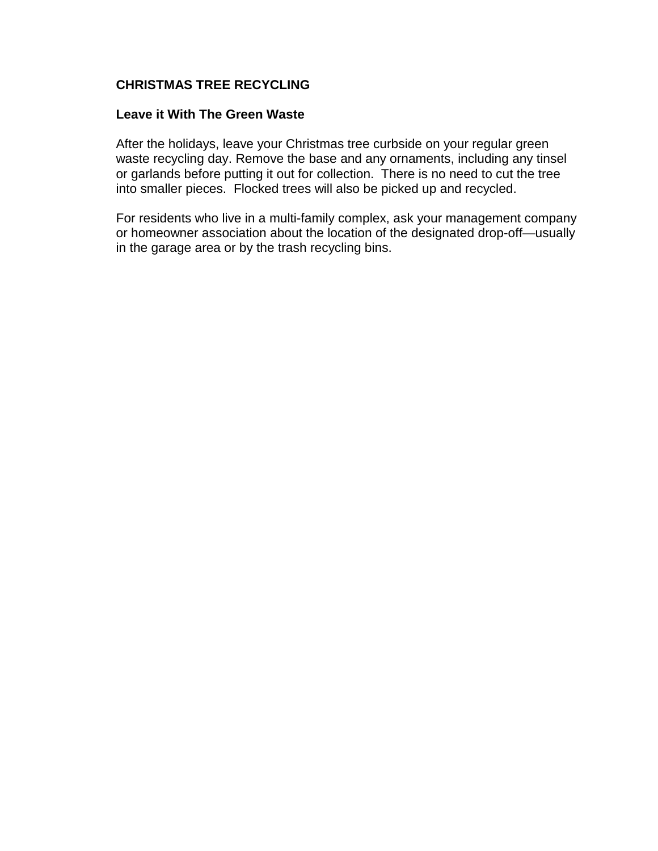### <span id="page-14-0"></span>**CHRISTMAS TREE RECYCLING**

### **Leave it With The Green Waste**

After the holidays, leave your Christmas tree curbside on your regular green waste recycling day. Remove the base and any ornaments, including any tinsel or garlands before putting it out for collection. There is no need to cut the tree into smaller pieces. Flocked trees will also be picked up and recycled.

For residents who live in a multi-family complex, ask your management company or homeowner association about the location of the designated drop-off—usually in the garage area or by the trash recycling bins.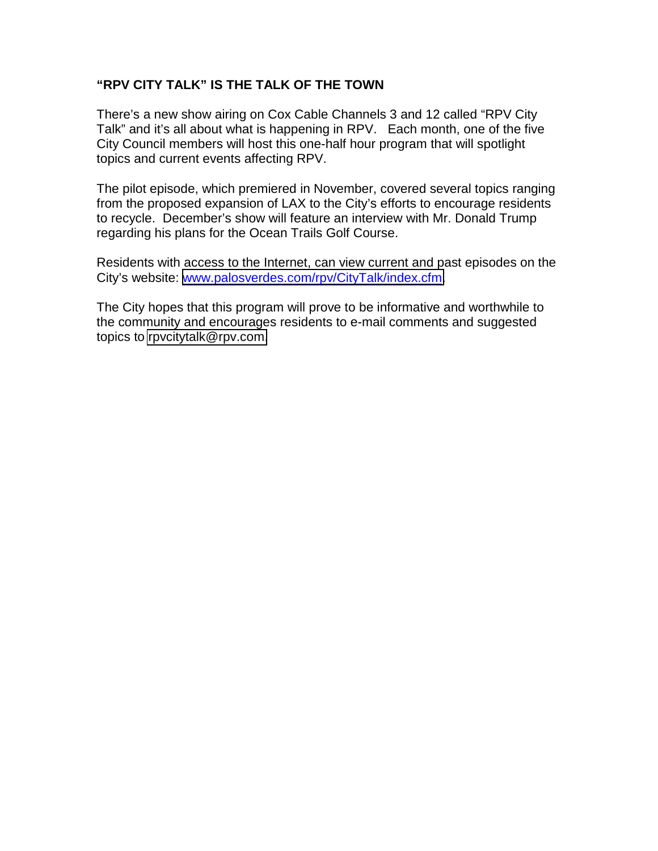# **"RPV CITY TALK" IS THE TALK OF THE TOWN**

There's a new show airing on Cox Cable Channels 3 and 12 called "RPV City Talk" and it's all about what is happening in RPV. Each month, one of the five City Council members will host this one-half hour program that will spotlight topics and current events affecting RPV.

The pilot episode, which premiered in November, covered several topics ranging from the proposed expansion of LAX to the City's efforts to encourage residents to recycle. December's show will feature an interview with Mr. Donald Trump regarding his plans for the Ocean Trails Golf Course.

Residents with access to the Internet, can view current and past episodes on the City's website: [www.palosverdes.com/rpv/CityTalk/index.cfm.](http://www.palosverdes.com/rpv/CityTalk/index.cfm)

The City hopes that this program will prove to be informative and worthwhile to the community and encourages residents to e-mail comments and suggested topics to [rpvcitytalk@rpv.com.](mailto:rpvcitytalk@rpv.com)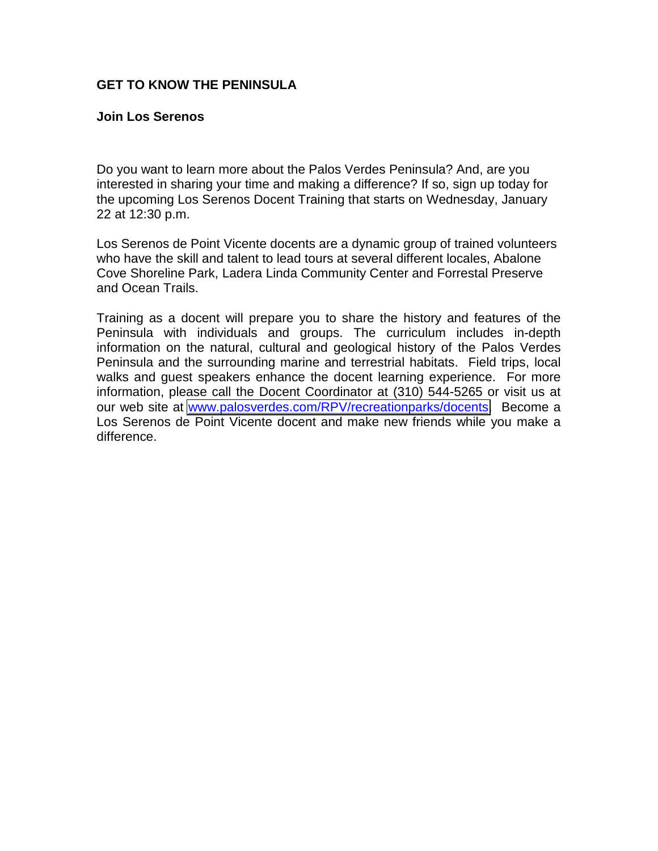### <span id="page-16-0"></span>**GET TO KNOW THE PENINSULA**

### **Join Los Serenos**

Do you want to learn more about the Palos Verdes Peninsula? And, are you interested in sharing your time and making a difference? If so, sign up today for the upcoming Los Serenos Docent Training that starts on Wednesday, January 22 at 12:30 p.m.

Los Serenos de Point Vicente docents are a dynamic group of trained volunteers who have the skill and talent to lead tours at several different locales, Abalone Cove Shoreline Park, Ladera Linda Community Center and Forrestal Preserve and Ocean Trails.

Training as a docent will prepare you to share the history and features of the Peninsula with individuals and groups. The curriculum includes in-depth information on the natural, cultural and geological history of the Palos Verdes Peninsula and the surrounding marine and terrestrial habitats. Field trips, local walks and guest speakers enhance the docent learning experience. For more information, please call the Docent Coordinator at (310) 544-5265 or visit us at our web site at [www.palosverdes.com/RPV/recreationparks/docents.](http://www.palosverdes.com/RPV/recreationparks/docents) Become a Los Serenos de Point Vicente docent and make new friends while you make a difference.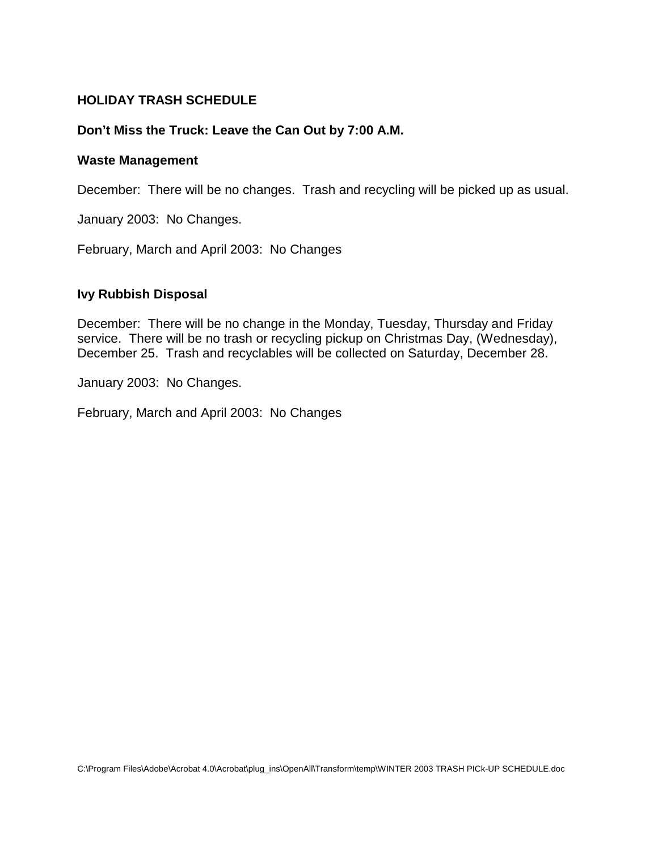### **HOLIDAY TRASH SCHEDULE**

### **Don't Miss the Truck: Leave the Can Out by 7:00 A.M.**

### **Waste Management**

December: There will be no changes. Trash and recycling will be picked up as usual.

January 2003: No Changes.

February, March and April 2003: No Changes

### **Ivy Rubbish Disposal**

December: There will be no change in the Monday, Tuesday, Thursday and Friday service. There will be no trash or recycling pickup on Christmas Day, (Wednesday), December 25. Trash and recyclables will be collected on Saturday, December 28.

January 2003: No Changes.

February, March and April 2003: No Changes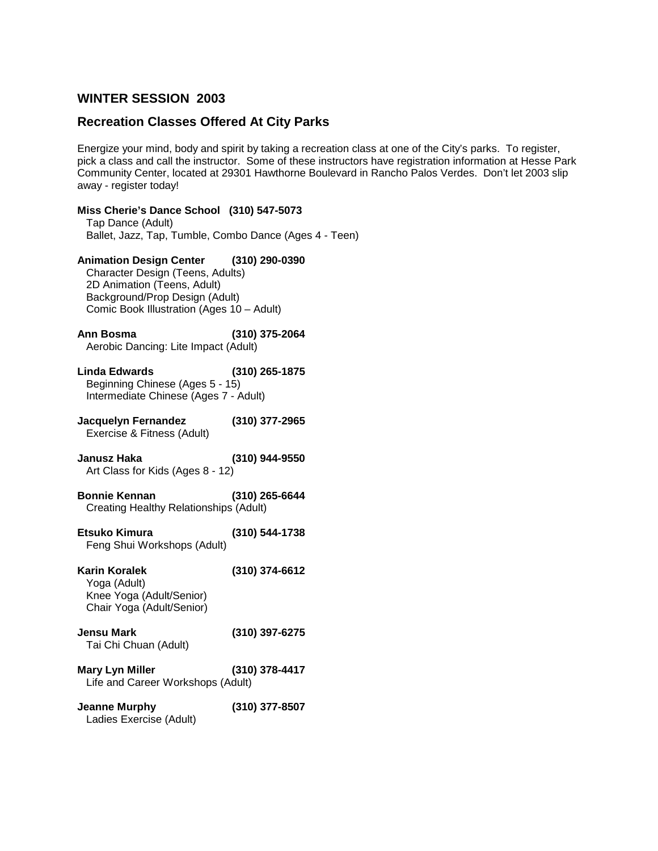### <span id="page-18-0"></span>**WINTER SESSION 2003**

# **Recreation Classes Offered At City Parks**

Energize your mind, body and spirit by taking a recreation class at one of the City's parks. To register, pick a class and call the instructor. Some of these instructors have registration information at Hesse Park Community Center, located at 29301 Hawthorne Boulevard in Rancho Palos Verdes. Don't let 2003 slip away - register today!

| Miss Cherie's Dance School (310) 547-5073<br>Tap Dance (Adult)<br>Ballet, Jazz, Tap, Tumble, Combo Dance (Ages 4 - Teen)                                                                 |                  |
|------------------------------------------------------------------------------------------------------------------------------------------------------------------------------------------|------------------|
| Animation Design Center (310) 290-0390<br>Character Design (Teens, Adults)<br>2D Animation (Teens, Adult)<br>Background/Prop Design (Adult)<br>Comic Book Illustration (Ages 10 - Adult) |                  |
| <b>Ann Bosma</b><br>Aerobic Dancing: Lite Impact (Adult)                                                                                                                                 | (310) 375-2064   |
| <b>Linda Edwards</b><br>Beginning Chinese (Ages 5 - 15)<br>Intermediate Chinese (Ages 7 - Adult)                                                                                         | (310) 265-1875   |
| Jacquelyn Fernandez<br>Exercise & Fitness (Adult)                                                                                                                                        | $(310)$ 377-2965 |
| Janusz Haka<br>Art Class for Kids (Ages 8 - 12)                                                                                                                                          | (310) 944-9550   |
| <b>Bonnie Kennan</b><br>Creating Healthy Relationships (Adult)                                                                                                                           | (310) 265-6644   |
| Etsuko Kimura<br>Feng Shui Workshops (Adult)                                                                                                                                             | (310) 544-1738   |
| Karin Koralek<br>Yoga (Adult)<br>Knee Yoga (Adult/Senior)<br>Chair Yoga (Adult/Senior)                                                                                                   | (310) 374-6612   |
| Jensu Mark<br>Tai Chi Chuan (Adult)                                                                                                                                                      | (310) 397-6275   |
| <b>Mary Lyn Miller</b><br>Life and Career Workshops (Adult)                                                                                                                              | (310) 378-4417   |
| <b>Jeanne Murphy</b><br>Ladies Exercise (Adult)                                                                                                                                          | (310) 377-8507   |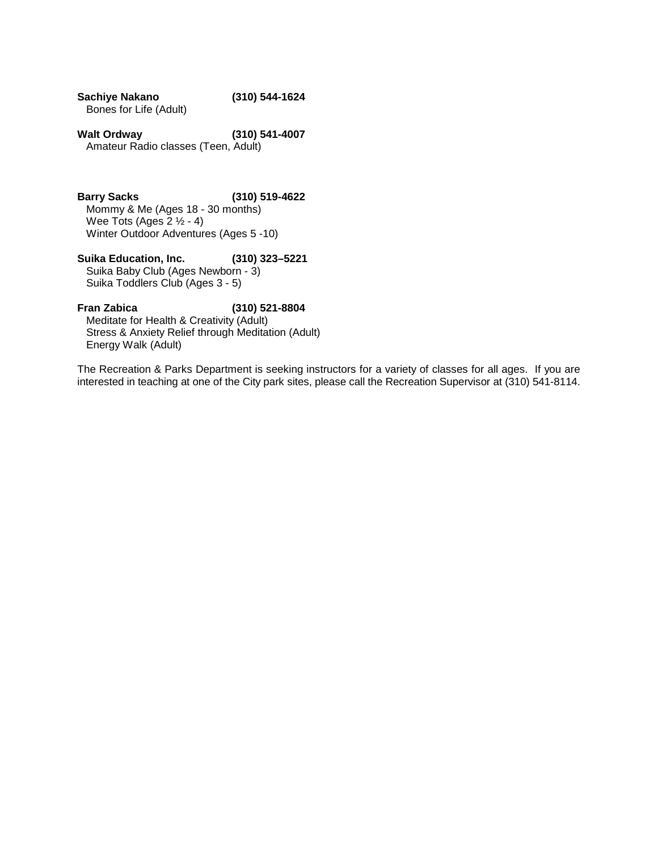| Sachiye Nakano         | (310) 544-1624 |
|------------------------|----------------|
| Bones for Life (Adult) |                |

**Walt Ordway (310) 541-4007** Amateur Radio classes (Teen, Adult)

**Barry Sacks (310) 519-4622** Mommy & Me (Ages 18 - 30 months) Wee Tots (Ages  $2 \frac{1}{2} - 4$ ) Winter Outdoor Adventures (Ages 5 -10)

**Suika Education, Inc. (310) 323–5221** Suika Baby Club (Ages Newborn - 3) Suika Toddlers Club (Ages 3 - 5)

#### **Fran Zabica (310) 521-8804**

Meditate for Health & Creativity (Adult) Stress & Anxiety Relief through Meditation (Adult) Energy Walk (Adult)

The Recreation & Parks Department is seeking instructors for a variety of classes for all ages. If you are interested in teaching at one of the City park sites, please call the Recreation Supervisor at (310) 541-8114.